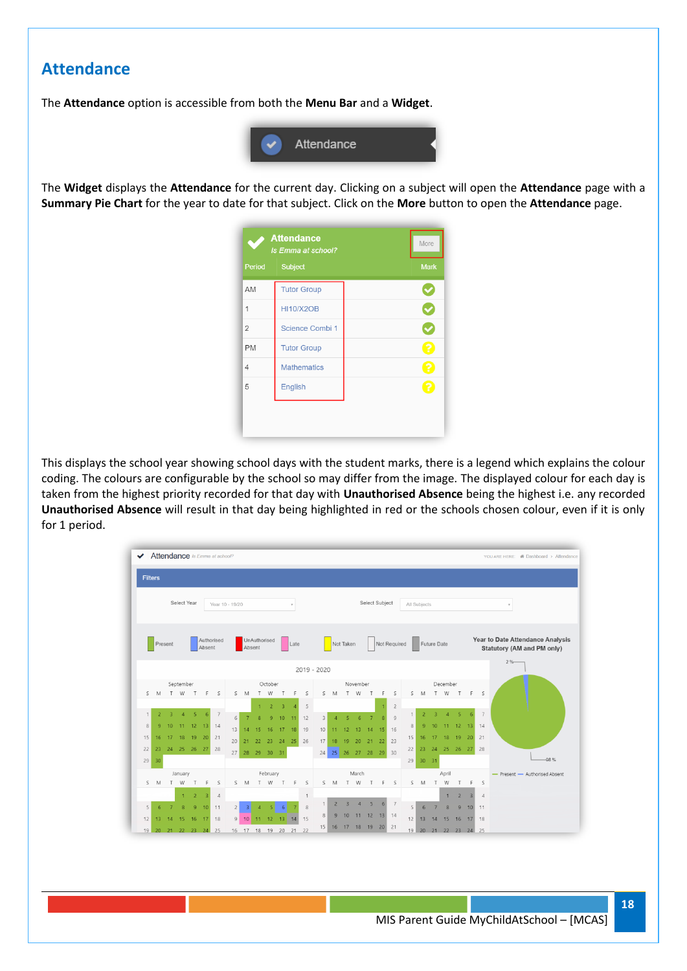## **Attendance**

The **Attendance** option is accessible from both the **Menu Bar** and a **Widget**.



The **Widget** displays the **Attendance** for the current day. Clicking on a subject will open the **Attendance** page with a **Summary Pie Chart** for the year to date for that subject. Click on the **More** button to open the **Attendance** page.



This displays the school year showing school days with the student marks, there is a legend which explains the colour coding. The colours are configurable by the school so may differ from the image. The displayed colour for each day is taken from the highest priority recorded for that day with **Unauthorised Absence** being the highest i.e. any recorded **Unauthorised Absence** will result in that day being highlighted in red or the schools chosen colour, even if it is only for 1 period.



**18**